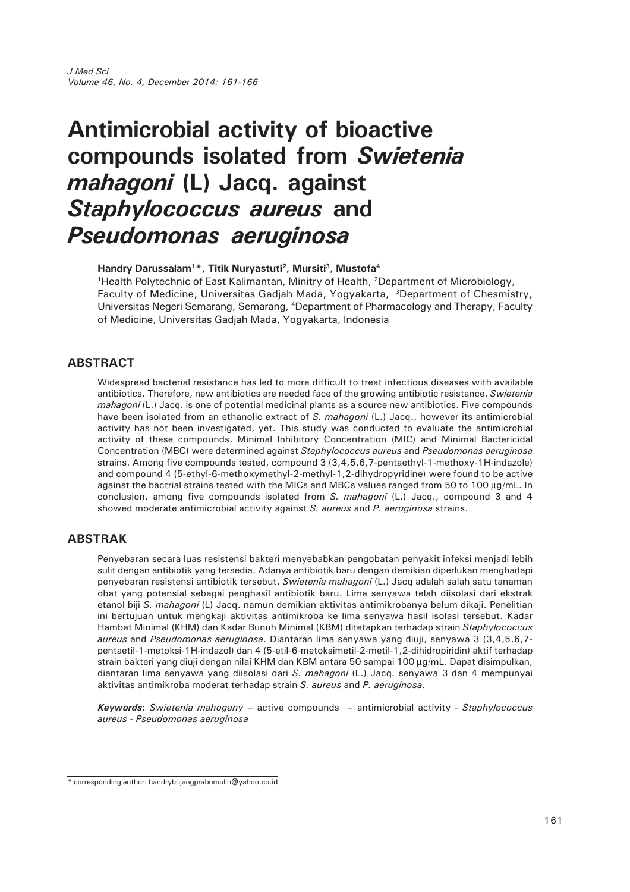# **Antimicrobial activity of bioactive compounds isolated from** *Swietenia mahagoni* **(L) Jacq. against** *Staphylococcus aureus* **and** *Pseudomonas aeruginosa*

Handry Darussalam<sup>1\*</sup>, Titik Nuryastuti<sup>2</sup>, Mursiti<sup>3</sup>, Mustofa<sup>4</sup>

<sup>1</sup>Health Polytechnic of East Kalimantan, Minitry of Health, <sup>2</sup>Department of Microbiology, Faculty of Medicine, Universitas Gadjah Mada, Yogyakarta, 3Department of Chesmistry, Universitas Negeri Semarang, Semarang, 4Department of Pharmacology and Therapy, Faculty of Medicine, Universitas Gadjah Mada, Yogyakarta, Indonesia

# **ABSTRACT**

Widespread bacterial resistance has led to more difficult to treat infectious diseases with available antibiotics. Therefore, new antibiotics are needed face of the growing antibiotic resistance. *Swietenia mahagoni* (L.) Jacq. is one of potential medicinal plants as a source new antibiotics. Five compounds have been isolated from an ethanolic extract of *S. mahagoni* (L.) Jacq., however its antimicrobial activity has not been investigated, yet. This study was conducted to evaluate the antimicrobial activity of these compounds. Minimal Inhibitory Concentration (MIC) and Minimal Bactericidal Concentration (MBC) were determined against *Staphylococcus aureus* and *Pseudomonas aeruginosa* strains. Among five compounds tested, compound 3 (3,4,5,6,7-pentaethyl-1-methoxy-1H-indazole) and compound 4 (5-ethyl-6-methoxymethyl-2-methyl-1,2-dihydropyridine) were found to be active against the bactrial strains tested with the MICs and MBCs values ranged from 50 to 100 μg/mL. In conclusion, among five compounds isolated from *S. mahagoni* (L.) Jacq., compound 3 and 4 showed moderate antimicrobial activity against *S. aureus* and *P. aeruginosa* strains.

# **ABSTRAK**

Penyebaran secara luas resistensi bakteri menyebabkan pengobatan penyakit infeksi menjadi lebih sulit dengan antibiotik yang tersedia. Adanya antibiotik baru dengan demikian diperlukan menghadapi penyebaran resistensi antibiotik tersebut. *Swietenia mahagoni* (L.) Jacq adalah salah satu tanaman obat yang potensial sebagai penghasil antibiotik baru. Lima senyawa telah diisolasi dari ekstrak etanol biji *S. mahagoni* (L) Jacq. namun demikian aktivitas antimikrobanya belum dikaji. Penelitian ini bertujuan untuk mengkaji aktivitas antimikroba ke lima senyawa hasil isolasi tersebut. Kadar Hambat Minimal (KHM) dan Kadar Bunuh Minimal (KBM) ditetapkan terhadap strain *Staphylococcus aureus* and *Pseudomonas aeruginosa*. Diantaran lima senyawa yang diuji, senyawa 3 (3,4,5,6,7 pentaetil-1-metoksi-1H-indazol) dan 4 (5-etil-6-metoksimetil-2-metil-1,2-dihidropiridin) aktif terhadap strain bakteri yang diuji dengan nilai KHM dan KBM antara 50 sampai 100 μg/mL. Dapat disimpulkan, diantaran lima senyawa yang diisolasi dari *S. mahagoni* (L.) Jacq. senyawa 3 dan 4 mempunyai aktivitas antimikroba moderat terhadap strain *S. aureus* and *P. aeruginosa*.

*Keywords*: *Swietenia mahogany* – active compounds – antimicrobial activity - *Staphylococcus aureus - Pseudomonas aeruginosa*

<sup>\*</sup> corresponding author: handrybujangprabumulih@yahoo.co.id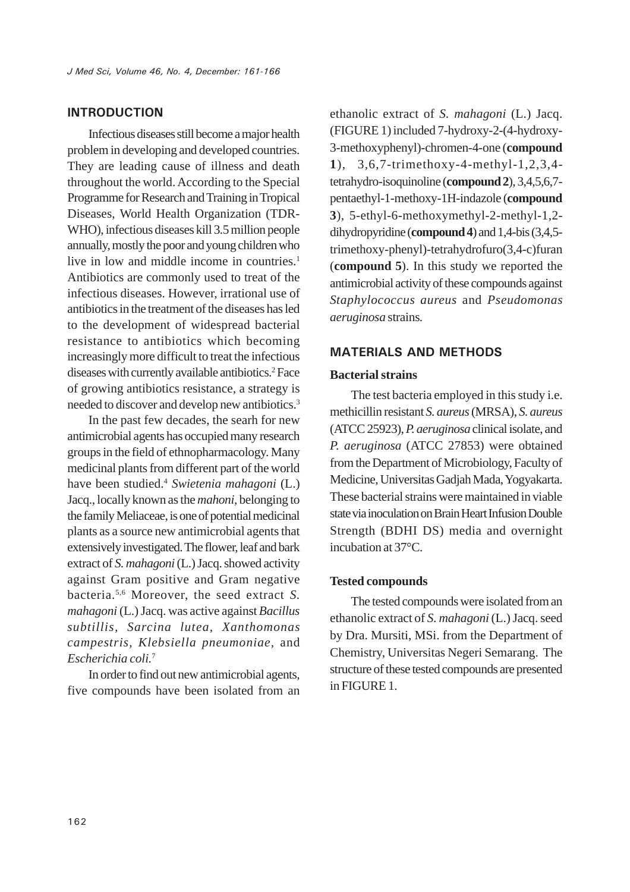# **INTRODUCTION**

Infectious diseases still become a major health problem in developing and developed countries. They are leading cause of illness and death throughout the world. According to the Special Programme for Research and Training in Tropical Diseases, World Health Organization (TDR-WHO), infectious diseases kill 3.5 million people annually, mostly the poor and young children who live in low and middle income in countries.<sup>1</sup> Antibiotics are commonly used to treat of the infectious diseases. However, irrational use of antibiotics in the treatment of the diseases has led to the development of widespread bacterial resistance to antibiotics which becoming increasingly more difficult to treat the infectious diseases with currently available antibiotics.<sup>2</sup> Face of growing antibiotics resistance, a strategy is needed to discover and develop new antibiotics.3

In the past few decades, the searh for new antimicrobial agents has occupied many research groups in the field of ethnopharmacology. Many medicinal plants from different part of the world have been studied.4 *Swietenia mahagoni* (L.) Jacq., locally known as the *mahoni*, belonging to the family Meliaceae, is one of potential medicinal plants as a source new antimicrobial agents that extensively investigated. The flower, leaf and bark extract of *S. mahagoni* (L.) Jacq. showed activity against Gram positive and Gram negative bacteria.5,6 Moreover, the seed extract *S. mahagoni* (L.) Jacq. was active against *Bacillus subtillis, Sarcina lutea, Xanthomonas campestris, Klebsiella pneumoniae,* and *Escherichia coli.*<sup>7</sup>

In order to find out new antimicrobial agents, five compounds have been isolated from an ethanolic extract of *S. mahagoni* (L.) Jacq. (FIGURE 1) included 7-hydroxy-2-(4-hydroxy-3-methoxyphenyl)-chromen-4-one (**compound 1**), 3,6,7-trimethoxy-4-methyl-1,2,3,4 tetrahydro-isoquinoline (**compound 2**), 3,4,5,6,7 pentaethyl-1-methoxy-1H-indazole (**compound 3**), 5-ethyl-6-methoxymethyl-2-methyl-1,2 dihydropyridine (**compound4**) and 1,4-bis (3,4,5 trimethoxy-phenyl)-tetrahydrofuro(3,4-c)furan (**compound 5**). In this study we reported the antimicrobial activity of these compounds against *Staphylococcus aureus* and *Pseudomonas aeruginosa* strains*.*

### **MATERIALS AND METHODS**

#### **Bacterial strains**

The test bacteria employed in this study i.e. methicillin resistant *S. aureus* (MRSA), *S. aureus* (ATCC 25923), *P. aeruginosa* clinical isolate, and *P. aeruginosa* (ATCC 27853) were obtained from the Department of Microbiology, Faculty of Medicine, Universitas Gadjah Mada, Yogyakarta. These bacterial strains were maintained in viable state via inoculation on Brain Heart Infusion Double Strength (BDHI DS) media and overnight incubation at 37°C.

#### **Tested compounds**

The tested compounds were isolated from an ethanolic extract of *S. mahagoni* (L.) Jacq. seed by Dra. Mursiti, MSi. from the Department of Chemistry, Universitas Negeri Semarang. The structure of these tested compounds are presented in FIGURE 1.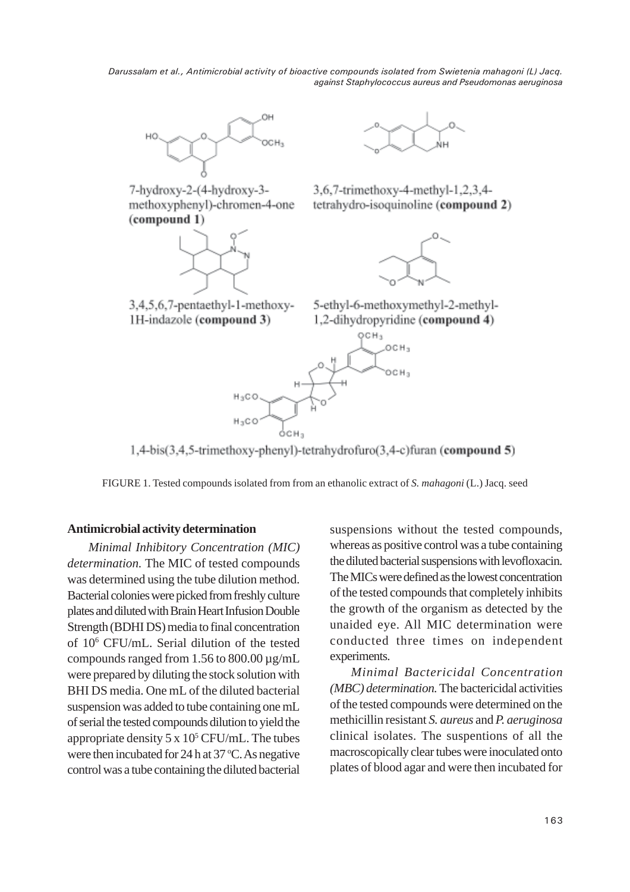*Darussalam et al., Antimicrobial activity of bioactive compounds isolated from Swietenia mahagoni (L) Jacq. against Staphylococcus aureus and Pseudomonas aeruginosa*



7-hydroxy-2-(4-hydroxy-3methoxyphenyl)-chromen-4-one (compound 1)





3,6,7-trimethoxy-4-methyl-1,2,3,4tetrahydro-isoquinoline (compound 2)



3,4,5,6,7-pentaethyl-1-methoxy-1H-indazole (compound 3)

5-ethyl-6-methoxymethyl-2-methyl-1,2-dihydropyridine (compound 4)



1,4-bis(3,4,5-trimethoxy-phenyl)-tetrahydrofuro(3,4-c)furan (compound 5)

FIGURE 1. Tested compounds isolated from from an ethanolic extract of *S. mahagoni* (L.) Jacq. seed

## **Antimicrobial activity determination**

*Minimal Inhibitory Concentration (MIC) determination.* The MIC of tested compounds was determined using the tube dilution method. Bacterial colonies were picked from freshly culture plates and diluted with Brain Heart Infusion Double Strength (BDHI DS) media to final concentration of 106 CFU/mL. Serial dilution of the tested compounds ranged from 1.56 to 800.00  $\mu$ g/mL were prepared by diluting the stock solution with BHI DS media. One mL of the diluted bacterial suspension was added to tube containing one mL of serial the tested compounds dilution to yield the appropriate density  $5 \times 10^5$  CFU/mL. The tubes were then incubated for 24 h at 37 °C. As negative control was a tube containing the diluted bacterial suspensions without the tested compounds, whereas as positive control was a tube containing the diluted bacterial suspensions with levofloxacin. The MICs were defined as the lowest concentration of the tested compounds that completely inhibits the growth of the organism as detected by the unaided eye. All MIC determination were conducted three times on independent experiments.

*Minimal Bactericidal Concentration (MBC) determination.* The bactericidal activities of the tested compounds were determined on the methicillin resistant *S. aureus* and *P. aeruginosa* clinical isolates. The suspentions of all the macroscopically clear tubes were inoculated onto plates of blood agar and were then incubated for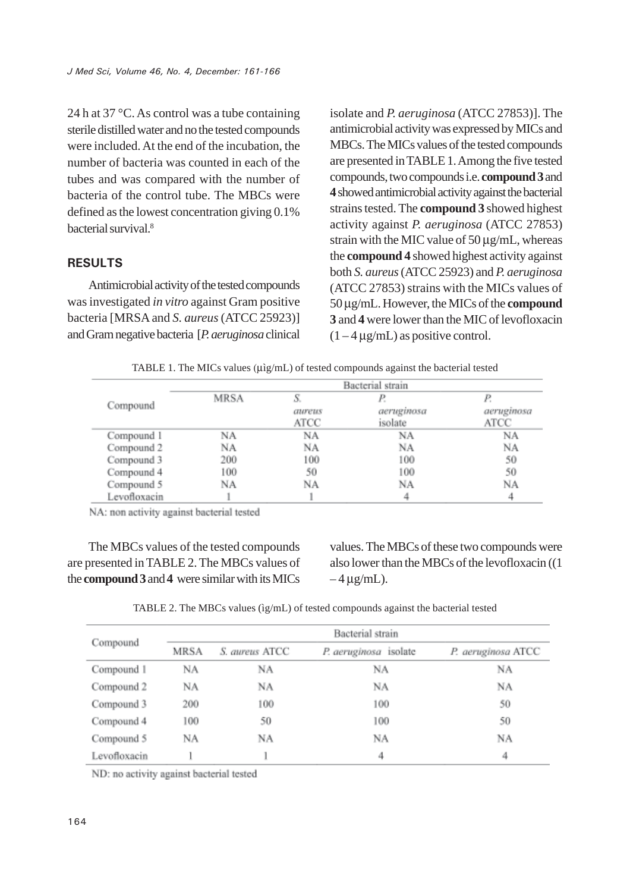24 h at 37 °C. As control was a tube containing sterile distilled water and no the tested compounds were included. At the end of the incubation, the number of bacteria was counted in each of the tubes and was compared with the number of bacteria of the control tube. The MBCs were defined as the lowest concentration giving 0.1% bacterial survival.8

# **RESULTS**

Antimicrobial activity of the tested compounds was investigated *in vitro* against Gram positive bacteria [MRSA and *S. aureus* (ATCC 25923)] and Gram negative bacteria [*P. aeruginosa* clinical isolate and *P. aeruginosa* (ATCC 27853)]. The antimicrobial activity was expressed by MICs and MBCs. The MICs values of the tested compounds are presented in TABLE 1. Among the five tested compounds, two compounds i.e. **compound 3** and **4** showed antimicrobial activity against the bacterial strains tested. The **compound 3** showed highest activity against *P. aeruginosa* (ATCC 27853) strain with the MIC value of 50 μg/mL, whereas the **compound 4** showed highest activity against both *S. aureus* (ATCC 25923) and *P. aeruginosa* (ATCC 27853) strains with the MICs values of 50 μg/mL. However, the MICs of the **compound 3** and **4** were lower than the MIC of levofloxacin  $(1 - 4 \mu g/mL)$  as positive control.

TABLE 1. The MICs values (μìg/mL) of tested compounds against the bacterial tested

|              | Bacterial strain |                |                       |                    |  |
|--------------|------------------|----------------|-----------------------|--------------------|--|
| Compound     | <b>MRSA</b>      |                | Р.                    |                    |  |
|              |                  | aureus<br>ATCC | aeruginosa<br>isolate | aeruginosa<br>ATCC |  |
| Compound 1   | NA               | NA             | NA                    | ΝA                 |  |
| Compound 2   | NA               | NA             | NA                    | NA                 |  |
| Compound 3   | 200              | 100            | 100                   | 50                 |  |
| Compound 4   | 100              | 50             | 100                   | 50                 |  |
| Compound 5   | NA               | NΑ             | NΑ                    | NA                 |  |
| Levofloxacin |                  |                |                       |                    |  |

NA: non activity against bacterial tested

The MBCs values of the tested compounds are presented in TABLE 2. The MBCs values of the **compound 3** and **4** were similar with its MICs

values. The MBCs of these two compounds were also lower than the MBCs of the levofloxacin ((1  $-4 \mu$ g/mL).

TABLE 2. The MBCs values (ìg/mL) of tested compounds against the bacterial tested

| Compound     | Bacterial strain |                |                       |                    |  |  |
|--------------|------------------|----------------|-----------------------|--------------------|--|--|
|              | MRSA             | S. aureus ATCC | P. aeruginosa isolate | P. aeruginosa ATCC |  |  |
| Compound 1   | NΑ               | NA             | NA                    | NΑ                 |  |  |
| Compound 2   | NΑ               | NA             | NA                    | NΑ                 |  |  |
| Compound 3   | 200              | 100            | 100                   | 50                 |  |  |
| Compound 4   | 100              | 50             | 100                   | 50                 |  |  |
| Compound 5   | NA               | NA             | NΑ                    | NA                 |  |  |
| Levofloxacin |                  |                | 4                     | 4                  |  |  |

ND: no activity against bacterial tested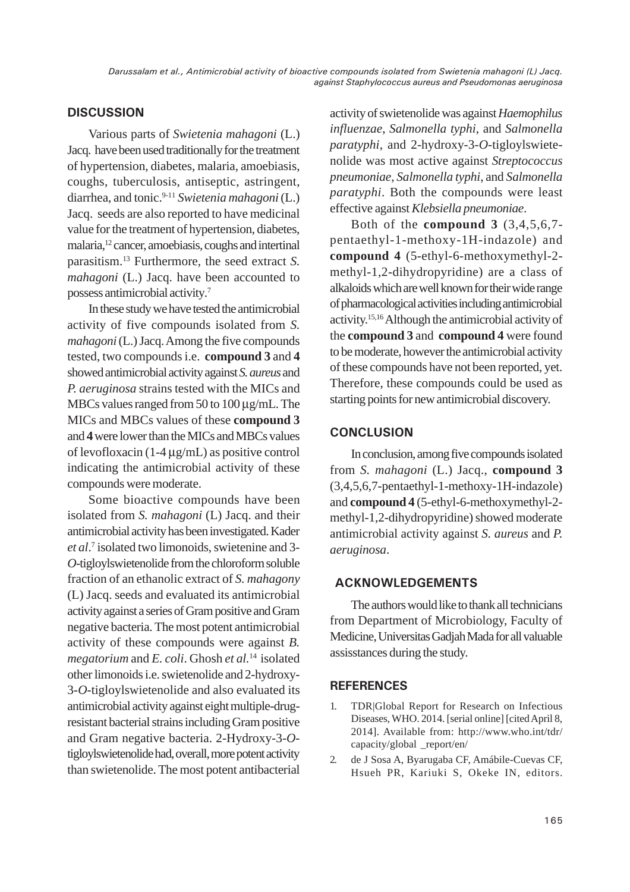# **DISCUSSION**

Various parts of *Swietenia mahagoni* (L.) Jacq. have been used traditionally for the treatment of hypertension, diabetes, malaria, amoebiasis, coughs, tuberculosis, antiseptic, astringent, diarrhea, and tonic.9-11 *Swietenia mahagoni* (L.) Jacq. seeds are also reported to have medicinal value for the treatment of hypertension, diabetes, malaria,12 cancer, amoebiasis, coughs and intertinal parasitism.13 Furthermore, the seed extract *S. mahagoni* (L.) Jacq. have been accounted to possess antimicrobial activity*.* 7

In these study we have tested the antimicrobial activity of five compounds isolated from *S. mahagoni* (L.) Jacq. Among the five compounds tested, two compounds i.e. **compound 3** and **4** showed antimicrobial activity against *S. aureus* and *P. aeruginosa* strains tested with the MICs and MBCs values ranged from 50 to 100 μg/mL. The MICs and MBCs values of these **compound 3** and **4** were lower than the MICs and MBCs values of levofloxacin (1-4 μg/mL) as positive control indicating the antimicrobial activity of these compounds were moderate.

Some bioactive compounds have been isolated from *S. mahagoni* (L) Jacq. and their antimicrobial activity has been investigated. Kader *et al*. 7 isolated two limonoids, swietenine and 3- *O*-tigloylswietenolide from the chloroform soluble fraction of an ethanolic extract of *S. mahagony* (L) Jacq. seeds and evaluated its antimicrobial activity against a series of Gram positive and Gram negative bacteria. The most potent antimicrobial activity of these compounds were against *B. megatorium* and *E. coli*. Ghosh *et al.*14 isolated other limonoids i.e. swietenolide and 2-hydroxy-3-*O*-tigloylswietenolide and also evaluated its antimicrobial activity against eight multiple-drugresistant bacterial strains including Gram positive and Gram negative bacteria. 2-Hydroxy-3-*O*tigloylswietenolide had, overall, more potent activity than swietenolide. The most potent antibacterial

activity of swietenolide was against *Haemophilus influenzae*, *Salmonella typhi*, and *Salmonella paratyphi*, and 2-hydroxy-3-*O*-tigloylswietenolide was most active against *Streptococcus pneumoniae*, *Salmonella typhi*, and *Salmonella paratyphi*. Both the compounds were least effective against *Klebsiella pneumoniae*.

Both of the **compound 3** (3,4,5,6,7 pentaethyl-1-methoxy-1H-indazole) and **compound 4** (5-ethyl-6-methoxymethyl-2 methyl-1,2-dihydropyridine) are a class of alkaloids which are well known for their wide range of pharmacological activities including antimicrobial activity.15,16 Although the antimicrobial activity of the **compound 3** and **compound 4** were found to be moderate, however the antimicrobial activity of these compounds have not been reported, yet. Therefore, these compounds could be used as starting points for new antimicrobial discovery.

# **CONCLUSION**

In conclusion, among five compounds isolated from *S. mahagoni* (L.) Jacq., **compound 3** (3,4,5,6,7-pentaethyl-1-methoxy-1H-indazole) and **compound 4** (5-ethyl-6-methoxymethyl-2 methyl-1,2-dihydropyridine) showed moderate antimicrobial activity against *S. aureus* and *P. aeruginosa*.

# **ACKNOWLEDGEMENTS**

The authors would like to thank all technicians from Department of Microbiology, Faculty of Medicine, Universitas Gadjah Mada for all valuable assisstances during the study.

# **REFERENCES**

- 1. TDR|Global Report for Research on Infectious Diseases, WHO. 2014. [serial online] [cited April 8, 2014]. Available from: http://www.who.int/tdr/ capacity/global \_report/en/
- 2. de J Sosa A, Byarugaba CF, Amábile-Cuevas CF, Hsueh PR, Kariuki S, Okeke IN, editors.